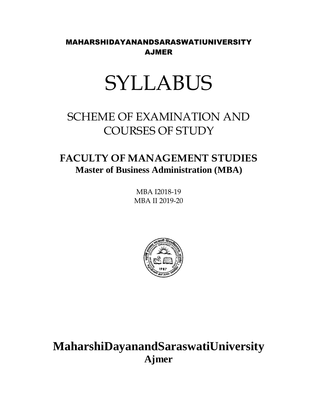MAHARSHIDAYANANDSARASWATIUNIVERSITY AJMER

# SYLLABUS

## SCHEME OF EXAMINATION AND COURSES OF STUDY

## **FACULTY OF MANAGEMENT STUDIES Master of Business Administration (MBA)**

MBA I2018-19 MBA II 2019-20



**MaharshiDayanandSaraswatiUniversity Ajmer**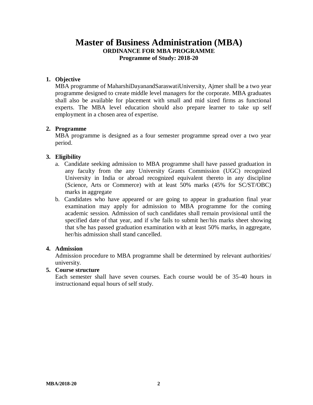### **Master of Business Administration (MBA) ORDINANCE FOR MBA PROGRAMME Programme of Study: 2018-20**

#### **1. Objective**

MBA programme of MaharshiDayanandSaraswatiUniversity, Ajmer shall be a two year programme designed to create middle level managers for the corporate. MBA graduates shall also be available for placement with small and mid sized firms as functional experts. The MBA level education should also prepare learner to take up self employment in a chosen area of expertise.

#### **2. Programme**

MBA programme is designed as a four semester programme spread over a two year period.

#### **3. Eligibility**

- a. Candidate seeking admission to MBA programme shall have passed graduation in any faculty from the any University Grants Commission (UGC) recognized University in India or abroad recognized equivalent thereto in any discipline (Science, Arts or Commerce) with at least 50% marks (45% for SC/ST/OBC) marks in aggregate
- b. Candidates who have appeared or are going to appear in graduation final year examination may apply for admission to MBA programme for the coming academic session. Admission of such candidates shall remain provisional until the specified date of that year, and if s/he fails to submit her/his marks sheet showing that s/he has passed graduation examination with at least 50% marks, in aggregate, her/his admission shall stand cancelled.

#### **4. Admission**

Admission procedure to MBA programme shall be determined by relevant authorities/ university.

#### **5. Course structure**

Each semester shall have seven courses. Each course would be of 35-40 hours in instructionand equal hours of self study.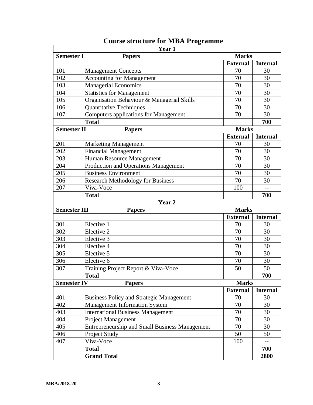|                     | Year 1                                                |                 |                 |
|---------------------|-------------------------------------------------------|-----------------|-----------------|
| <b>Semester I</b>   | <b>Papers</b>                                         | <b>Marks</b>    |                 |
|                     |                                                       | <b>External</b> | <b>Internal</b> |
| 101                 | <b>Management Concepts</b>                            | 70              | 30              |
| 102                 | <b>Accounting for Management</b>                      | 70              | 30              |
| 103                 | <b>Managerial Economics</b>                           | 70              | 30              |
| 104                 | <b>Statistics for Management</b>                      | 70              | 30              |
| 105                 | Organisation Behaviour & Managerial Skills            | 70              | 30              |
| 106                 | <b>Quantitative Techniques</b>                        | 70              | 30              |
| 107                 | <b>Computers applications for Management</b>          | 70              | 30              |
|                     | <b>Total</b>                                          |                 | 700             |
| <b>Semester II</b>  | <b>Papers</b>                                         | <b>Marks</b>    |                 |
|                     |                                                       | <b>External</b> | <b>Internal</b> |
| 201                 | <b>Marketing Management</b>                           | 70              | 30              |
| 202                 | <b>Financial Management</b>                           | 70              | 30              |
| 203                 | Human Resource Management                             | 70              | 30              |
| 204                 | Production and Operations Management                  | 70              | 30              |
| 205                 | <b>Business Environment</b>                           | 70              | 30              |
| 206                 | <b>Research Methodology for Business</b>              | 70              | 30              |
| 207                 | Viva-Voce                                             | 100             | $-$             |
|                     | <b>Total</b>                                          |                 | 700             |
|                     | Year 2                                                |                 |                 |
| <b>Semester III</b> | <b>Papers</b>                                         | <b>Marks</b>    |                 |
|                     |                                                       | <b>External</b> | <b>Internal</b> |
| 301                 | Elective 1                                            | 70              | 30              |
| 302                 | Elective 2                                            | 70              | 30              |
| 303                 | Elective 3                                            | 70              | 30              |
| 304                 | Elective 4                                            | 70              | 30              |
| 305                 | Elective 5                                            | 70              | 30              |
| 306                 | Elective 6                                            | 70              | 30              |
| 307                 | Training Project Report & Viva-Voce                   | 50              | 50              |
|                     | <b>Total</b>                                          |                 | 700             |
| <b>Semester IV</b>  | <b>Papers</b>                                         | <b>Marks</b>    |                 |
|                     |                                                       | <b>External</b> | <b>Internal</b> |
| 401                 | <b>Business Policy and Strategic Management</b>       | 70              | 30              |
| 402                 | <b>Management Information System</b>                  | 70              | 30              |
| 403                 | <b>International Business Management</b>              | 70              | 30              |
| 404                 | <b>Project Management</b>                             | 70              | 30              |
| 405                 | <b>Entrepreneurship and Small Business Management</b> | 70              | 30              |
| 406                 | Project Study                                         | 50              | 50              |
| 407                 | Viva-Voce                                             | 100             | $-$             |
|                     | <b>Total</b>                                          |                 | 700             |
|                     | <b>Grand Total</b>                                    |                 | 2800            |

## **Course structure for MBA Programme**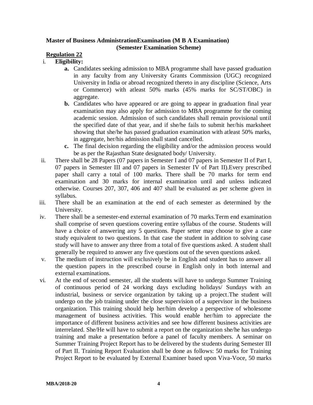#### **Master of Business AdministrationExamination (M B A Examination) (Semester Examination Scheme)**

#### **Regulation 22**

#### i. **Eligibility:**

- **a.** Candidates seeking admission to MBA programme shall have passed graduation in any faculty from any University Grants Commission (UGC) recognized University in India or abroad recognized thereto in any discipline (Science, Arts or Commerce) with atleast 50% marks (45% marks for SC/ST/OBC) in aggregate.
- **b.** Candidates who have appeared or are going to appear in graduation final year examination may also apply for admission to MBA programme for the coming academic session. Admission of such candidates shall remain provisional until the specified date of that year, and if she/he fails to submit her/his marksheet showing that she/he has passed graduation examination with atleast 50% marks, in aggregate, her/his admission shall stand cancelled.
- **c.** The final decision regarding the eligibility and/or the admission process would be as per the Rajasthan State designated body/ University.
- ii. There shall be 28 Papers (07 papers in Semester I and 07 papers in Semester II of Part I, 07 papers in Semester III and 07 papers in Semester IV of Part II).Every prescribed paper shall carry a total of 100 marks. There shall be 70 marks for term end examination and 30 marks for internal examination until and unless indicated otherwise. Courses 207, 307, 406 and 407 shall be evaluated as per scheme given in syllabus.
- iii. There shall be an examination at the end of each semester as determined by the University.
- iv. There shall be a semester-end external examination of 70 marks.Term end examination shall comprise of seven questions covering entire syllabus of the course. Students will have a choice of answering any 5 questions. Paper setter may choose to give a case study equivalent to two questions. In that case the student in addition to solving case study will have to answer any three from a total of five questions asked. A student shall generally be required to answer any five questions out of the seven questions asked.
- v. The medium of instruction will exclusively be in English and student has to answer all the question papers in the prescribed course in English only in both internal and external examinations.
- vi. At the end of second semester, all the students will have to undergo Summer Training of continuous period of 24 working days excluding holidays/ Sundays with an industrial, business or service organization by taking up a project.The student will undergo on the job training under the close supervision of a supervisor in the business organization. This training should help her/him develop a perspective of wholesome management of business activities. This would enable her/him to appreciate the importance of different business activities and see how different business activities are interrelated. She/He will have to submit a report on the organization she/he has undergo training and make a presentation before a panel of faculty members. A seminar on Summer Training Project Report has to be delivered by the students during Semester III of Part II. Training Report Evaluation shall be done as follows: 50 marks for Training Project Report to be evaluated by External Examiner based upon Viva-Voce, 50 marks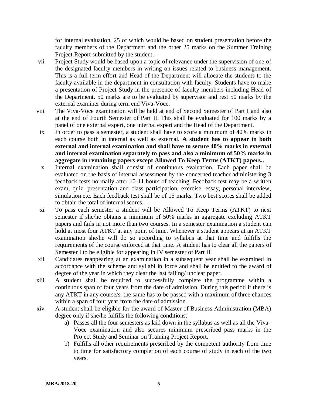for internal evaluation, 25 of which would be based on student presentation before the faculty members of the Department and the other 25 marks on the Summer Training Project Report submitted by the student.

- vii. Project Study would be based upon a topic of relevance under the supervision of one of the designated faculty members in writing on issues related to business management. This is a full term effort and Head of the Department will allocate the students to the faculty available in the department in consultation with faculty. Students have to make a presentation of Project Study in the presence of faculty members including Head of the Department. 50 marks are to be evaluated by supervisor and rest 50 marks by the external examiner during term end Viva-Voce.
- viii. The Viva-Voce examination will be held at end of Second Semester of Part I and also at the end of Fourth Semester of Part II. This shall be evaluated for 100 marks by a panel of one external expert, one internal expert and the Head of the Department.
- ix. In order to pass a semester, a student shall have to score a minimum of 40% marks in each course both in internal as well as external. **A student has to appear in both external and internal examination and shall have to secure 40% marks in external and internal examination separately to pass and also a minimum of 50% marks in aggregate in remaining papers except Allowed To Keep Terms (ATKT) papers..**
- x. Internal examination shall consist of continuous evaluation. Each paper shall be evaluated on the basis of internal assessment by the concerned teacher administering 3 feedback tests normally after 10-11 hours of teaching. Feedback test may be a written exam, quiz, presentation and class participation, exercise, essay, personal interview, simulation etc. Each feedback test shall be of 15 marks. Two best scores shall be added to obtain the total of internal scores.
- xi. To pass each semester a student will be Allowed To Keep Terms (ATKT) to next semester if she/he obtains a minimum of 50% marks in aggregate excluding ATKT papers and fails in not more than two courses. In a semester examination a student can hold at most four ATKT at any point of time. Whenever a student appears at an ATKT examination she/he will do so according to syllabus at that time and fulfills the requirements of the course enforced at that time. A student has to clear all the papers of Semester I to be eligible for appearing in IV semester of Part II.
- xii. Candidates reappearing at an examination in a subsequent year shall be examined in accordance with the scheme and syllabi in force and shall be entitled to the award of degree of the year in which they clear the last failing/ unclear paper.
- xiii. A student shall be required to successfully complete the programme within a continuous span of four years from the date of admission. During this period if there is any ATKT in any course/s, the same has to be passed with a maximum of three chances within a span of four year from the date of admission.
- xiv. A student shall be eligible for the award of Master of Business Administration (MBA) degree only if she/he fulfills the following conditions:
	- a) Passes all the four semesters as laid down in the syllabus as well as all the Viva-Voce examination and also secures minimum prescribed pass marks in the Project Study and Seminar on Training Project Report.
	- b) Fulfills all other requirements prescribed by the competent authority from time to time for satisfactory completion of each course of study in each of the two years.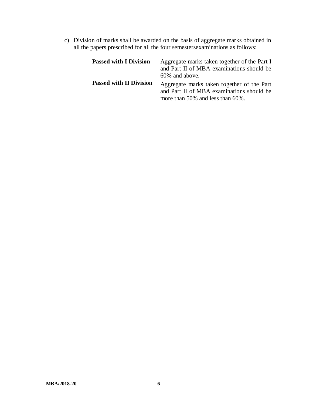c) Division of marks shall be awarded on the basis of aggregate marks obtained in all the papers prescribed for all the four semestersexaminations as follows:

| <b>Passed with I Division</b>  | Aggregate marks taken together of the Part I<br>and Part II of MBA examinations should be<br>60% and above.                 |
|--------------------------------|-----------------------------------------------------------------------------------------------------------------------------|
| <b>Passed with II Division</b> | Aggregate marks taken together of the Part<br>and Part II of MBA examinations should be<br>more than 50% and less than 60%. |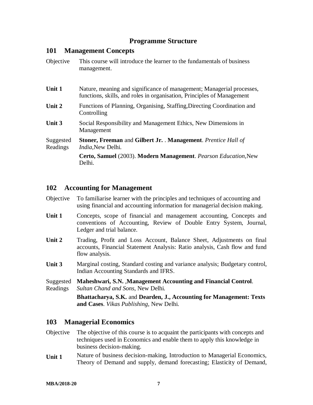#### **Programme Structure**

#### **101 Management Concepts**

| Objective             | This course will introduce the learner to the fundamentals of business<br>management.                                                           |
|-----------------------|-------------------------------------------------------------------------------------------------------------------------------------------------|
| Unit 1                | Nature, meaning and significance of management; Managerial processes,<br>functions, skills, and roles in organisation, Principles of Management |
| Unit 2                | Functions of Planning, Organising, Staffing, Directing Coordination and<br>Controlling                                                          |
| Unit 3                | Social Responsibility and Management Ethics, New Dimensions in<br>Management                                                                    |
| Suggested<br>Readings | <b>Stoner, Freeman</b> and Gilbert Jr. Management. Prentice Hall of<br><i>India</i> , New Delhi.                                                |
|                       | Certo, Samuel (2003). Modern Management. Pearson Education, New<br>Delhi.                                                                       |

#### **102 Accounting for Management**

| Objective To familiarise learner with the principles and techniques of accounting and |
|---------------------------------------------------------------------------------------|
| using financial and accounting information for managerial decision making.            |

- **Unit 1** Concepts, scope of financial and management accounting, Concepts and conventions of Accounting, Review of Double Entry System, Journal, Ledger and trial balance.
- **Unit 2** Trading, Profit and Loss Account, Balance Sheet, Adjustments on final accounts, Financial Statement Analysis: Ratio analysis, Cash flow and fund flow analysis.
- **Unit 3** Marginal costing, Standard costing and variance analysis; Budgetary control, Indian Accounting Standards and IFRS.
- Suggested Readings **Maheshwari, S.N.** ,**Management Accounting and Financial Control**. *Sultan Chand and Sons*, New Delhi.

**Bhattacharya, S.K.** and **Dearden, J., Accounting for Management: Texts and Cases**. *Vikas Publishing*, New Delhi.

#### **103 Managerial Economics**

- Objective The objective of this course is to acquaint the participants with concepts and techniques used in Economics and enable them to apply this knowledge in business decision-making.
- **Unit 1** Nature of business decision-making, Introduction to Managerial Economics, Theory of Demand and supply, demand forecasting; Elasticity of Demand,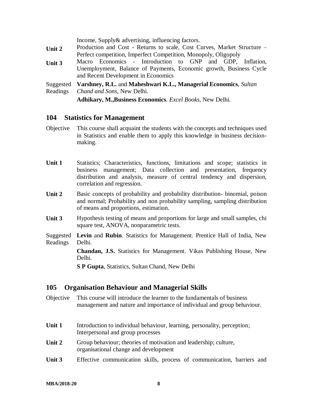|           | Income, Supply & advertising, influencing factors.                      |  |
|-----------|-------------------------------------------------------------------------|--|
| Unit 2    | Production and Cost - Returns to scale, Cost Curves, Market Structure – |  |
|           | Perfect competition, Imperfect Competition, Monopoly, Oligopoly         |  |
| Unit 3    | Macro Economics - Introduction to GNP and GDP, Inflation,               |  |
|           | Unemployment, Balance of Payments, Economic growth, Business Cycle      |  |
|           | and Recent Development in Economics                                     |  |
| Suggested | Varshney, R.L. and Maheshwari K.L., Managerial Economics, Sultan        |  |
| Readings  | Chand and Sons, New Delhi.                                              |  |
|           | Adhikary, M., Business Economics. Excel Books, New Delhi.               |  |
|           |                                                                         |  |

#### **104 Statistics for Management**

- Objective This course shall acquaint the students with the concepts and techniques used in Statistics and enable them to apply this knowledge in business decisionmaking.
- **Unit 1** Statistics; Characteristics, functions, limitations and scope; statistics in business management; Data collection and presentation, frequency distribution and analysis, measure of central tendency and dispersion, correlation and regression.
- Unit 2 Basic concepts of probability and probability distribution-binomial, poison and normal; Probability and non probability sampling, sampling distribution of means and proportions, estimation.
- **Unit 3** Hypothesis testing of means and proportions for large and small samples, chi square test, ANOVA, nonparametric tests.
- Suggested Readings **Levin** and **Rubin**. Statistics for Management. Prentice Hall of India, New Delhi.

**Chandan, J.S.** Statistics for Management. Vikas Publishing House, New Delhi.

**S P Gupta**, Statistics, Sultan Chand, New Delhi

#### **105 Organisation Behaviour and Managerial Skills**

- Objective This course will introduce the learner to the fundamentals of business management and nature and importance of individual and group behaviour.
- **Unit 1** Introduction to individual behaviour, learning, personality, perception; Interpersonal and group processes
- Unit 2 Group behaviour; theories of motivation and leadership; culture, organisational change and development
- **Unit 3** Effective communication skills, process of communication, barriers and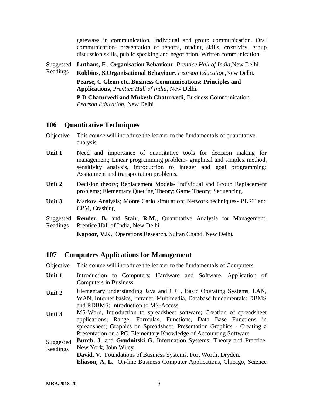gateways in communication, Individual and group communication. Oral communication- presentation of reports, reading skills, creativity, group discussion skills, public speaking and negotiation. Written communication.

Suggested **Luthans, F** . **Organisation Behaviour**. *Prentice Hall of India,*New Delhi.

Readings **Robbins, S.Organisational Behaviour**. *Pearson Education,*New Delhi.

> **Pearse, C Glenn etc. Business Communications: Principles and Applications,** P*rentice Hall of India*, New Delhi.

**P D Chaturvedi and Mukesh Chaturvedi**, Business Communication, *Pearson Education*, New Delhi

#### **106 Quantitative Techniques**

- Objective This course will introduce the learner to the fundamentals of quantitative analysis
- **Unit 1** Need and importance of quantitative tools for decision making for management; Linear programming problem- graphical and simplex method, sensitivity analysis, introduction to integer and goal programming; Assignment and transportation problems.
- **Unit 2** Decision theory; Replacement Models- Individual and Group Replacement problems; Elementary Queuing Theory; Game Theory; Sequencing.
- **Unit 3** Markov Analysis; Monte Carlo simulation; Network techniques- PERT and CPM, Crashing

Suggested Readings **Render, B.** and **Stair, R.M.**, Quantitative Analysis for Management, Prentice Hall of India, New Delhi.

**Kapoor, V.K.**, Operations Research. Sultan Chand, New Delhi.

#### **107 Computers Applications for Management**

Objective This course will introduce the learner to the fundamentals of Computers.

- Unit 1 Introduction to Computers: Hardware and Software, Application of Computers in Business.
- Unit 2 Elementary understanding Java and C++, Basic Operating Systems, LAN, WAN, Internet basics, Intranet, Multimedia, Database fundamentals: DBMS and RDBMS; Introduction to MS-Access.
- **Unit 3** MS-Word, Introduction to spreadsheet software; Creation of spreadsheet applications; Range, Formulas, Functions, Data Base Functions in spreadsheet; Graphics on Spreadsheet. Presentation Graphics - Creating a Presentation on a PC, Elementary Knowledge of Accounting Software
- Suggested Readings **Burch, J.** and **Grudnitski G.** Information Systems: Theory and Practice, New York, John Wiley.

**David, V.** Foundations of Business Systems. Fort Worth, Dryden. **Eliason, A. L.** On-line Business Computer Applications, Chicago, Science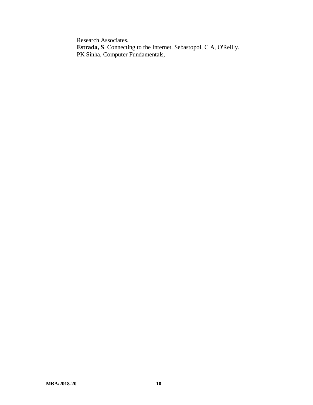Research Associates. **Estrada, S**. Connecting to the Internet. Sebastopol, C A, O'Reilly. PK Sinha, Computer Fundamentals,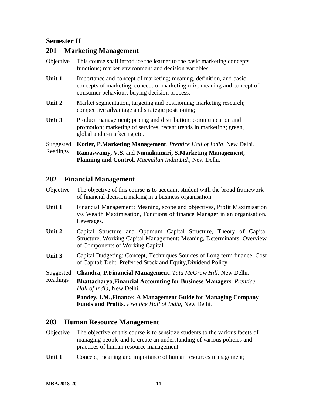### **Semester II**

#### **201 Marketing Management**

| Objective     | This course shall introduce the learner to the basic marketing concepts,<br>functions; market environment and decision variables.                                                              |
|---------------|------------------------------------------------------------------------------------------------------------------------------------------------------------------------------------------------|
| <b>Unit 1</b> | Importance and concept of marketing; meaning, definition, and basic<br>concepts of marketing, concept of marketing mix, meaning and concept of<br>consumer behaviour; buying decision process. |
| Unit 2        | Market segmentation, targeting and positioning; marketing research;<br>competitive advantage and strategic positioning;                                                                        |
| Unit 3        | Product management; pricing and distribution; communication and<br>promotion; marketing of services, recent trends in marketing; green,<br>global and e-marketing etc.                         |
| Suggested     | <b>Kotler, P.Marketing Management.</b> Prentice Hall of India, New Delhi.                                                                                                                      |
| Readings      | Ramaswamy, V.S. and Namakumari, S.Marketing Management,<br><b>Planning and Control.</b> Macmillan India Ltd., New Delhi.                                                                       |

### **202 Financial Management**

| Objective The objective of this course is to acquaint student with the broad framework |
|----------------------------------------------------------------------------------------|
| of financial decision making in a business organisation.                               |

- **Unit 1** Financial Management: Meaning, scope and objectives, Profit Maximisation v/s Wealth Maximisation, Functions of finance Manager in an organisation, Leverages.
- **Unit 2** Capital Structure and Optimum Capital Structure, Theory of Capital Structure, Working Capital Management: Meaning, Determinants, Overview of Components of Working Capital.
- **Unit 3** Capital Budgeting: Concept, Techniques,Sources of Long term finance, Cost of Capital: Debt, Preferred Stock and Equity,Dividend Policy
- Suggested **Chandra, P.Financial Management**. *Tata McGraw Hill*, New Delhi.
- Readings **Bhattacharya**,**Financial Accounting for Business Managers**. *Prentice Hall of India*, New Delhi.

**Pandey, I.M.,Finance: A Management Guide for Managing Company Funds and Profits**. *Prentice Hall of India*, New Delhi.

#### **203 Human Resource Management**

- Objective The objective of this course is to sensitize students to the various facets of managing people and to create an understanding of various policies and practices of human resource management
- Unit 1 Concept, meaning and importance of human resources management;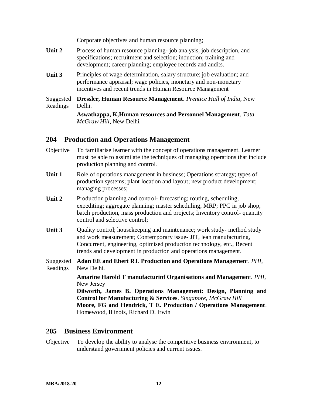Corporate objectives and human resource planning;

- Unit 2 Process of human resource planning- job analysis, job description, and specifications; recruitment and selection; induction; training and development; career planning; employee records and audits.
- **Unit 3** Principles of wage determination, salary structure; job evaluation; and performance appraisal; wage policies, monetary and non-monetary incentives and recent trends in Human Resource Management

Suggested Readings **Dressler, Human Resource Management**. *Prentice Hall of India*, New Delhi.

> **Aswathappa, K,Human resources and Personnel Management**. *Tata McGraw Hill*, New Delhi.

#### **204 Production and Operations Management**

- Objective To familiarise learner with the concept of operations management. Learner must be able to assimilate the techniques of managing operations that include production planning and control.
- Unit 1 Role of operations management in business; Operations strategy; types of production systems; plant location and layout; new product development; managing processes;
- Unit 2 Production planning and control-forecasting; routing, scheduling, expediting; aggregate planning; master scheduling, MRP; PPC in job shop, batch production, mass production and projects; Inventory control- quantity control and selective control;
- **Unit 3** Quality control; housekeeping and maintenance; work study- method study and work measurement; Contemporary issue- JIT, lean manufacturing, Concurrent, engineering, optimised production technology, etc., Recent trends and development in production and operations management.
- Suggested **Adan EE and Ebert RJ**. **Production and Operations Managemen**t. *PHI*, Readings New Delhi.

**Amarine Harold T manufacturinf Organisations and Managemen**t. *PHI*, New Jersey

**Dilworth, James B. Operations Management: Design, Planning and Control for Manufacturing & Services**. *Singapore, McGraw Hill* **Moore, FG and Hendrick, T E. Production / Operations Management**. Homewood, Illinois, Richard D. Irwin

#### **205 Business Environment**

Objective To develop the ability to analyse the competitive business environment, to understand government policies and current issues.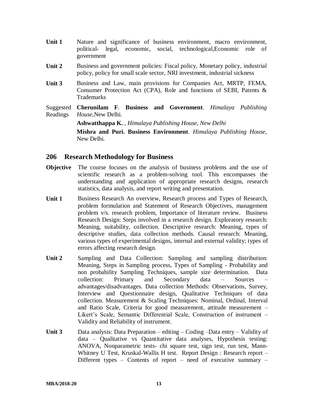- **Unit 1** Nature and significance of business environment, macro environment, political- legal, economic, social, technological,Economic role of government
- **Unit 2** Business and government policies: Fiscal policy, Monetary policy, industrial policy, policy for small scale sector, NRI investment, industrial sickness
- **Unit 3** Business and Law, main provisions for Companies Act, MRTP, FEMA, Consumer Protection Act (CPA), Role and functions of SEBI, Patents & Trademarks
- Suggested Readings **Cherunilam F**. **Business and Government**. *Himalaya Publishing House,*New Delhi.

**Ashwatthappa K.** , *Himalaya Publishing House, New Delhi*

**Mishra and Puri. Business Environment**. *Himalaya Publishing House*, New Delhi.

#### **206 Research Methodology for Business**

- **Objective** The course focuses on the analysis of business problems and the use of scientific research as a problem-solving tool. This encompasses the understanding and application of appropriate research designs, research statistics, data analysis, and report writing and presentation.
- Unit 1 Business Research An overview, Research process and Types of Research, problem formulation and Statement of Research Objectives, management problem v/s. research problem, Importance of literature review. Business Research Design: Steps involved in a research design. Exploratory research: Meaning, suitability, collection. Descriptive research: Meaning, types of descriptive studies, data collection methods. Causal research: Meaning, various types of experimental designs, internal and external validity; types of errors affecting research design.
- **Unit 2** Sampling and Data Collection: Sampling and sampling distribution: Meaning, Steps in Sampling process, Types of Sampling - Probability and non probability Sampling Techniques, sample size determination. Data collection: Primary and Secondary data – Sources – advantages/disadvantages. Data collection Methods: Observations, Survey, Interview and Questionnaire design, Qualitative Techniques of data collection. Measurement & Scaling Techniques: Nominal, Ordinal, Interval and Ratio Scale, Criteria for good measurement, attitude measurement – Likert's Scale, Semantic Differential Scale, Construction of instrument – Validity and Reliability of instrument.
- **Unit 3** Data analysis: Data Preparation editing Coding –Data entry Validity of data – Qualitative vs Quantitative data analyses, Hypothesis testing: ANOVA, Nonparametric tests- chi square test, sign test, run test, Mann-Whitney U Test, Kruskal-Wallis H test. Report Design : Research report – Different types – Contents of report – need of executive summary –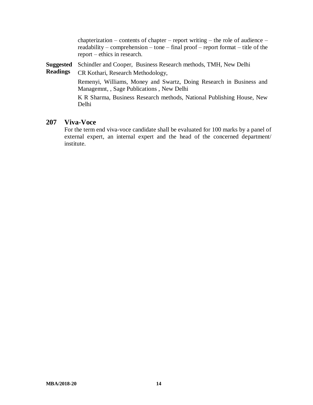chapterization – contents of chapter – report writing – the role of audience – readability – comprehension – tone – final proof – report format – title of the report – ethics in research.

**Suggested**  Schindler and Cooper, Business Research methods, TMH, New Delhi

**Readings** CR Kothari, Research Methodology,

Remenyi, Williams, Money and Swartz, Doing Research in Business and Managemnt, , Sage Publications , New Delhi

K R Sharma, Business Research methods, National Publishing House, New Delhi

#### **207 Viva-Voce**

For the term end viva-voce candidate shall be evaluated for 100 marks by a panel of external expert, an internal expert and the head of the concerned department/ institute.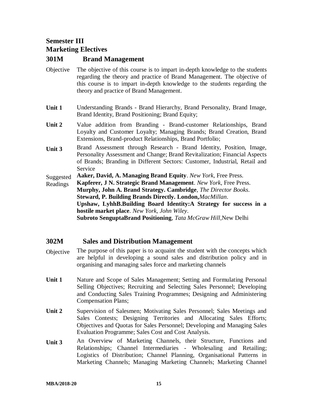## **Semester III Marketing Electives**

#### **301M Brand Management**

- Objective The objective of this course is to impart in-depth knowledge to the students regarding the theory and practice of Brand Management. The objective of this course is to impart in-depth knowledge to the students regarding the theory and practice of Brand Management.
- **Unit 1** Understanding Brands Brand Hierarchy, Brand Personality, Brand Image, Brand Identity, Brand Positioning; Brand Equity;
- **Unit 2** Value addition from Branding Brand-customer Relationships, Brand Loyalty and Customer Loyalty; Managing Brands; Brand Creation, Brand Extensions, Brand-product Relationships, Brand Portfolio;
- **Unit 3** Brand Assessment through Research Brand Identity, Position, Image, Personality Assessment and Change; Brand Revitalization; Financial Aspects of Brands; Branding in Different Sectors: Customer, Industrial, Retail and Service

Suggested **Aaker, David, A. Managing Brand Equity**. *New York*, Free Press.

Readings **Kapferer, J N. Strategic Brand Management**. *New York*, Free Press. **Murphy, John A. Brand Strategy. Cambridge**, *The Director Books*. **Steward, P. Building Brands Directly. London,***MacMillan*. **Upshaw, LyhhB.Building Board Identity:A Strategy for success in a hostile market place**. *New York, John Wiley*. **Subroto SenguptaBrand Positioning**, *Tata McGraw Hill,*New Delhi

#### **302M Sales and Distribution Management**

- Objective The purpose of this paper is to acquaint the student with the concepts which are helpful in developing a sound sales and distribution policy and in organising and managing sales force and marketing channels
- **Unit 1** Nature and Scope of Sales Management; Setting and Formulating Personal Selling Objectives; Recruiting and Selecting Sales Personnel; Developing and Conducting Sales Training Programmes; Designing and Administering Compensation Plans;
- **Unit 2** Supervision of Salesmen; Motivating Sales Personnel; Sales Meetings and Sales Contests; Designing Territories and Allocating Sales Efforts; Objectives and Quotas for Sales Personnel; Developing and Managing Sales Evaluation Programme; Sales Cost and Cost Analysis.
- **Unit 3** An Overview of Marketing Channels, their Structure, Functions and Relationships; Channel Intermediaries - Wholesaling and Retailing; Logistics of Distribution; Channel Planning, Organisational Patterns in Marketing Channels; Managing Marketing Channels; Marketing Channel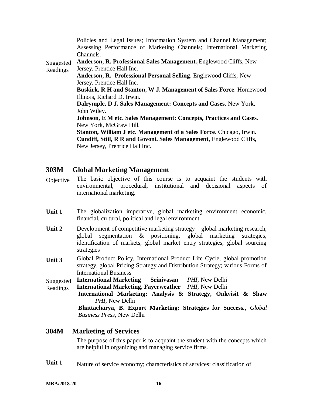|           | Policies and Legal Issues; Information System and Channel Management;       |
|-----------|-----------------------------------------------------------------------------|
|           | Assessing Performance of Marketing Channels; International Marketing        |
|           | Channels.                                                                   |
| Suggested | Anderson, R. Professional Sales Management., Englewood Cliffs, New          |
| Readings  | Jersey, Prentice Hall Inc.                                                  |
|           | Anderson, R. Professional Personal Selling. Englewood Cliffs, New           |
|           | Jersey, Prentice Hall Inc.                                                  |
|           | <b>Buskirk, R H and Stanton, W J. Management of Sales Force. Homewood</b>   |
|           | Illinois, Richard D. Irwin.                                                 |
|           | Dalrymple, D J. Sales Management: Concepts and Cases. New York,             |
|           | John Wiley.                                                                 |
|           | Johnson, E M etc. Sales Management: Concepts, Practices and Cases.          |
|           | New York, McGraw Hill.                                                      |
|           | <b>Stanton, William J etc. Management of a Sales Force.</b> Chicago, Irwin. |
|           | Cundiff, Stiil, R R and Govoni. Sales Management, Englewood Cliffs,         |
|           | New Jersey, Prentice Hall Inc.                                              |

#### **303M Global Marketing Management**

- Objective The basic objective of this course is to acquaint the students with environmental, procedural, institutional and decisional aspects of international marketing.
- Unit 1 The globalization imperative, global marketing environment economic, financial, cultural, political and legal environment
- Unit 2 Development of competitive marketing strategy global marketing research, global segmentation & positioning, global marketing strategies, identification of markets, global market entry strategies, global sourcing strategies
- **Unit 3** Global Product Policy, International Product Life Cycle, global promotion strategy, global Pricing Strategy and Distribution Strategy; various Forms of International Business
- Suggested **International Marketing Srinivasan** *PHI,* New Delhi
- Readings **International Marketing, Fayerweather** *PHI,* New Delhi
	- **International Marketing: Analysis & Strategy, Onkvisit & Shaw** *PHI,* New Delhi

**Bhattacharya, B. Export Marketing: Strategies for Success.**, *Global Business Press*, New Delhi

#### **304M Marketing of Services**

The purpose of this paper is to acquaint the student with the concepts which are helpful in organizing and managing service firms.

Unit 1 Nature of service economy; characteristics of services; classification of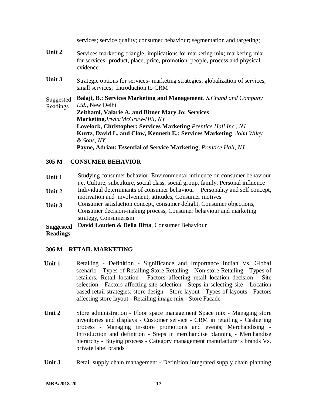services; service quality; consumer behaviour; segmentation and targeting; **Unit 2** Services marketing triangle; implications for marketing mix; marketing mix for services- product, place, price, promotion, people, process and physical evidence Unit 3 Strategic options for services- marketing strategies; globalization of services, small services; Introduction to CRM Suggested Readings **Balaji, B.: Services Marketing and Management**. *S.Chand and Company Ltd.*, New Delhi **Zeithaml, Valarie A. and Bitner Mary Jo: Services Marketing.***Irwin/McGraw-Hill, NY* **Lovelock, Christopher: Services Marketing**,*Prentice Hall Inc., NJ* **Kurtz, David L. and Clow, Kenneth E.: Services Marketing**. *John Wiley & Sons, NY* **Payne, Adrian: Essential of Service Marketing**, *Prentice Hall, NJ*

#### **305 M CONSUMER BEHAVIOR**

- **Unit 1** Studying consumer behavior, Environmental influence on consumer behaviour i.e. Culture, subculture, social class, social group, family, Personal influence
- **Unit 2** Individual determinants of consumer behaviour Personality and self concept, motivation and involvement, attitudes, Consumer motives
- **Unit 3** Consumer satisfaction concept, consumer delight, Consumer objections, Consumer decision-making process, Consumer behaviour and marketing strategy, Consumerism

#### **Suggested David Louden & Della Bitta**, Consumer Behaviour

#### **Readings**

#### **306 M RETAIL MARKETING**

- Unit 1 **Retailing Definition Significance and Importance Indian Vs. Global** scenario - Types of Retailing Store Retailing - Non-store Retailing - Types of retailers, Retail location - Factors affecting retail location decision - Site selection - Factors affecting site selection - Steps in selecting site - Location based retail strategies; store design - Store layout - Types of layouts - Factors affecting store layout - Retailing image mix - Store Facade
- Unit 2 Store administration Floor space management Space mix Managing store inventories and displays - Customer service - CRM in retailing - Cashiering process - Managing in-store promotions and events; Merchandising - Introduction and definition - Steps in merchandise planning - Merchandise hierarchy - Buying process - Category management manufacturer's brands Vs. private label brands
- **Unit 3** Retail supply chain management Definition Integrated supply chain planning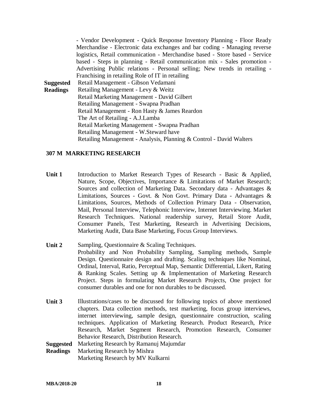- Vendor Development - Quick Response Inventory Planning - Floor Ready Merchandise - Electronic data exchanges and bar coding - Managing reverse logistics, Retail communication - Merchandise based - Store based - Service based - Steps in planning - Retail communication mix - Sales promotion - Advertising Public relations - Personal selling; New trends in retailing - Franchising in retailing Role of IT in retailing **Suggested Readings** Retail Management - Gibson Vedamani Retailing Management - Levy & Weitz Retail Marketing Management - David Gilbert Retailing Management - Swapna Pradhan Retail Management - Ron Hasty & James Reardon The Art of Retailing - A.J.Lamba Retail Marketing Management - Swapna Pradhan Retailing Management - W.Steward have Retailing Management - Analysis, Planning & Control - David Walters

#### **307 M MARKETING RESEARCH**

- Unit 1 Introduction to Market Research Types of Research Basic & Applied, Nature, Scope, Objectives, Importance & Limitations of Market Research; Sources and collection of Marketing Data. Secondary data - Advantages & Limitations, Sources - Govt. & Non Govt. Primary Data - Advantages & Limitations, Sources, Methods of Collection Primary Data - Observation, Mail, Personal Interview, Telephonic Interview, Internet Interviewing. Market Research Techniques. National readership survey, Retail Store Audit, Consumer Panels, Test Marketing, Research in Advertising Decisions, Marketing Audit, Data Base Marketing, Focus Group Interviews.
- Unit 2 Sampling, Questionnaire & Scaling Techniques. Probability and Non Probability Sampling, Sampling methods, Sample Design. Questionnaire design and drafting. Scaling techniques like Nominal, Ordinal, Interval, Ratio, Perceptual Map, Semantic Differential, Likert, Rating & Ranking Scales. Setting up & Implementation of Marketing Research Project. Steps in formulating Market Research Projects, One project for consumer durables and one for non durables to be discussed.
- Unit 3 Illustrations/cases to be discussed for following topics of above mentioned chapters. Data collection methods, test marketing, focus group interviews, internet interviewing, sample design, questionnaire construction, scaling techniques. Application of Marketing Research. Product Research, Price Research, Market Segment Research, Promotion Research, Consumer Behavior Research, Distribution Research.

**Suggested**  Marketing Research by Ramanuj Majumdar

**Readings** Marketing Research by Mishra Marketing Research by MV Kulkarni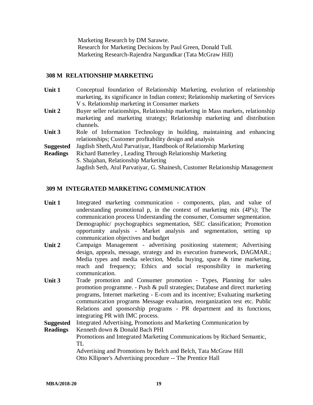Marketing Research by DM Sarawte. Research for Marketing Decisions by Paul Green, Donald Tull. Marketing Research-Rajendra Nargundkar (Tata McGraw Hill)

#### **308 M RELATIONSHIP MARKETING**

- **Unit 1** Conceptual foundation of Relationship Marketing, evolution of relationship marketing, its significance in Indian context; Relationship marketing of Services V s. Relationship marketing in Consumer markets
- **Unit 2** Buyer seller relationships, Relationship marketing in Mass markets, relationship marketing and marketing strategy; Relationship marketing and distribution channels.
- Unit 3 Role of Information Technology in building, maintaining and enhancing relationships; Customer profitability design and analysis
- **Suggested** Jagdish Sheth,Atul Parvatiyar, Handbook of Relationship Marketing
- **Readings** Richard Batterley , Leading Through Relationship Marketing S. Shajahan, Relationship Marketing Jagdish Seth, Atul Parvatiyar, G. Shainesh, Customer Relationship Management

#### **309 M INTEGRATED MARKETING COMMUNICATION**

- **Unit 1** Integrated marketing communication components, plan, and value of understanding promotional p, in the context of marketing mix (4P's); The communication process Understanding the consumer, Consumer segmentation. Demographic/ psychographics segmentation, SEC classification; Promotion opportunity analysis - Market analysis and segmentation, setting up communication objectives and budget
- **Unit 2** Campaign Management advertising positioning statement; Advertising design, appeals, message, strategy and its execution framework, DAGMAR.; Media types and media selection, Media buying, space & time marketing, reach and frequency; Ethics and social responsibility in marketing communication.
- Unit 3 Trade promotion and Consumer promotion Types, Planning for sales promotion programme. - Push & pull strategies; Database and direct marketing programs, Internet marketing - E-com and its incentive; Evaluating marketing communication programs Message evaluation, reorganization test etc. Public Relations and sponsorship programs - PR department and its functions, integrating PR with IMC process.

**Suggested**  Integrated Advertising, Promotions and Marketing Communication by

**Readings** Kenneth down & Donald Bach PHI Promotions and Integrated Marketing Communications by Richard Semantic, TL Advertising and Promotions by Belch and Belch, Tata McGraw Hill Otto Kllipner's Advertising procedure -- The Prentice Hall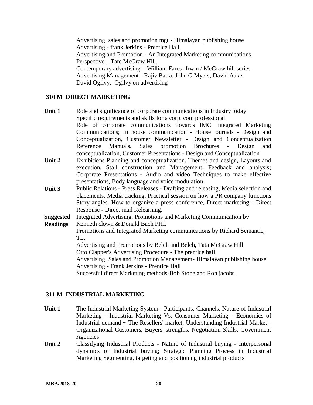Advertising, sales and promotion mgt - Himalayan publishing house Advertising - frank Jerkins - Prentice Hall Advertising and Promotion - An Integrated Marketing communications Perspective \_ Tate McGraw Hill. Contemporary advertising  $=$  William Fares-Irwin / McGraw hill series. Advertising Management - Rajiv Batra, John G Myers, David Aaker David Ogilvy, Ogilvy on advertising

#### **310 M DIRECT MARKETING**

- Unit 1 Role and significance of corporate communications in Industry today Specific requirements and skills for a corp. com professional Role of corporate communications towards IMC Integrated Marketing Communications; In house communication - House journals - Design and Conceptualization, Customer Newsletter - Design and Conceptualization Reference Manuals, Sales promotion Brochures - Design and conceptualization, Customer Presentations - Design and Conceptualization
- **Unit 2** Exhibitions Planning and conceptualization. Themes and design, Layouts and execution, Stall construction and Management, Feedback and analysis; Corporate Presentations **-** Audio and video Techniques to make effective presentations, Body language and voice modulation
- **Unit 3** Public Relations Press Releases Drafting and releasing, Media selection and placements, Media tracking, Practical session on how a PR company functions Story angles, How to organize a press conference, Direct marketing - Direct Response - Direct mail Relearning.

**Suggested**  Integrated Advertising, Promotions and Marketing Communication by

**Readings** Kenneth clown & Donald Bach PHI.

> Promotions and Integrated Marketing communications by Richard Semantic, TL.

Advertising and Promotions by Belch and Belch, Tata McGraw Hill

Otto Clapper's Advertising Procedure - The prentice hall

Advertising, Sales and Promotion Management- Himalayan publishing house Advertising - Frank Jerkins - Prentice Hall

Successful direct Marketing methods-Bob Stone and Ron jacobs.

#### **311 M INDUSTRIAL MARKETING**

- **Unit 1** The Industrial Marketing System Participants, Channels, Nature of Industrial Marketing - Industrial Marketing Vs. Consumer Marketing - Economics of Industrial demand ~ The Resellers' market, Understanding Industrial Market - Organizational Customers, Buyers' strengths, Negotiation Skills, Government Agencies
- **Unit 2** Classifying Industrial Products Nature of Industrial buying Interpersonal dynamics of Industrial buying; Strategic Planning Process in Industrial Marketing Segmenting, targeting and positioning industrial products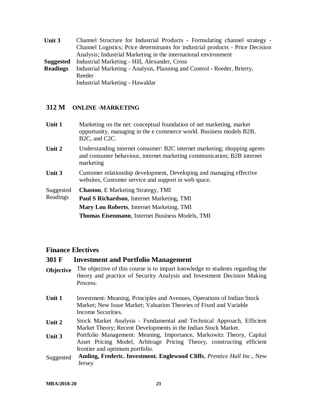**Unit 3** Channel Structure for Industrial Products - Formulating channel strategy - Channel Logistics; Price determinants for industrial products - Price Decision Analysis; Industrial Marketing in the international environment **Suggested Readings** Industrial Marketing - Hill, Alexander, Cross Industrial Marketing - Analysis, Planning and Control - Reeder, Brierty, Reeder Industrial Marketing - Hawaldar

#### **312 M ONLINE -MARKETING**

| Unit 1 | Marketing on the net: conceptual foundation of net marketing, market |
|--------|----------------------------------------------------------------------|
|        | opportunity, managing in the e commerce world. Business models B2B,  |
|        | $B2C$ , and $C2C$ .                                                  |
|        |                                                                      |

- **Unit 2** Understanding internet consumer: B2C internet marketing; shopping agents and consumer behaviour, internet marketing communication; B2B internet marketing
- **Unit 3** Customer relationship development, Developing and managing effective websites, Customer service and support in web space.

Suggested Readings **Chaston**, E Marketing Strategy, TMI **Paul S Richardson**, Internet Marketing, TMI **Mary Lou Roberts**, Internet Marketing, TMI **Thomas Eisenmann**, Internet Business Models, TMI

#### **Finance Electives**

#### **301 F Investment and Portfolio Management**

- **Objective** The objective of this course is to impart knowledge to students regarding the theory and practice of Security Analysis and Investment Decision Making Process.
- **Unit 1** Investment: Meaning, Principles and Avenues, Operations of Indian Stock Market; New Issue Market; Valuation Theories of Fixed and Variable Income Securities.
- **Unit 2** Stock Market Analysis Fundamental and Technical Approach, Efficient Market Theory; Recent Developments in the Indian Stock Market.
- **Unit 3** Portfolio Management: Meaning, Importance, Markowitz Theory, Capital Asset Pricing Model, Arbitrage Pricing Theory, constructing efficient frontier and optimum portfolio.
- Suggested **Amling, Frederic. Investment. Englewood Cliffs**, *Prentice Hall Inc*., New Jersey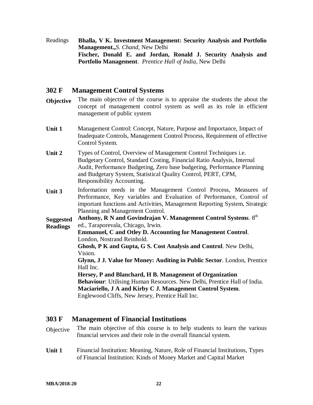Readings **Bhalla, V K. Investment Management: Security Analysis and Portfolio Management.,***S. Chand*, New Delhi **Fischer, Donald E. and Jordan, Ronald J. Security Analysis and Portfolio Management**. *Prentice Hall of India*, New Delhi

#### **302 F Management Control Systems**

- **Objective** The main objective of the course is to appraise the students the about the concept of management control system as well as its role in efficient management of public system
- **Unit 1** Management Control: Concept, Nature, Purpose and Importance, Impact of Inadequate Controls, Management Control Process, Requirement of effective Control System.
- Unit 2 Types of Control, Overview of Management Control Techniques i.e. Budgetary Control, Standard Costing, Financial Ratio Analysis, Internal Audit, Performance Budgeting, Zero base budgeting, Performance Planning and Budgetary System, Statistical Quality Control, PERT, CPM, Responsibility Accounting.
- **Unit 3** Information needs in the Management Control Process, Measures of Performance, Key variables and Evaluation of Performance, Control of important functions and Activities, Management Reporting System, Strategic Planning and Management Control.

**Suggested Readings** Anthony, R N and Govindrajan V. Management Control Systems. 8<sup>th</sup> ed., Taraporevala, Chicago, Irwin.

**Emmanuel, C and Otley D. Accounting for Management Control**. London, Nostrand Reinhold. **Ghosh, P K and Gupta, G S. Cost Analysis and Control**. New Delhi, Vision. **Glynn, J J. Value for Money: Auditing in Public Sector**. London, Prentice Hall Inc. **Hersey, P and Blanchard, H B. Management of Organization Behaviour**: Utilising Human Resources. New Delhi, Prentice Hall of India.

**Maciariello, J A and Kirby C J. Management Control System**. Englewood Cliffs, New Jersey, Prentice Hall Inc.

## **303 F Management of Financial Institutions**

- Objective The main objective of this course is to help students to learn the various financial services and their role in the overall financial system.
- **Unit 1** Financial Institution: Meaning, Nature, Role of Financial Institutions, Types of Financial Institution: Kinds of Money Market and Capital Market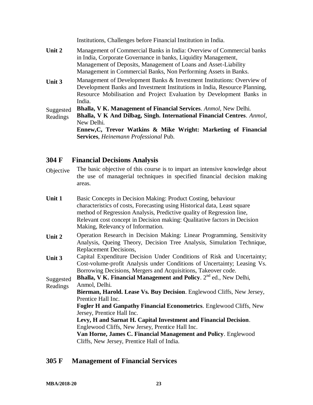Institutions, Challenges before Financial Institution in India.

- **Unit 2** Management of Commercial Banks in India: Overview of Commercial banks in India, Corporate Governance in banks, Liquidity Management, Management of Deposits, Management of Loans and Asset-Liability Management in Commercial Banks, Non Performing Assets in Banks.
- **Unit 3** Management of Development Banks & Investment Institutions: Overview of Development Banks and Investment Institutions in India, Resource Planning, Resource Mobilisation and Project Evaluation by Development Banks in India.

Suggested **Bhalla, V K. Management of Financial Services**. *Anmol,* New Delhi.

Readings **Bhalla, V K And Dilbag, Singh. International Financial Centres**. *Anmol,* New Delhi.

> **Ennew,C, Trevor Watkins & Mike Wright: Marketing of Financial Services**, *Heinemann Professional* Pub.

### **304 F Financial Decisions Analysis**

Objective The basic objective of this course is to impart an intensive knowledge about the use of managerial techniques in specified financial decision making areas.

| Unit 1    | Basic Concepts in Decision Making: Product Costing, behaviour                 |
|-----------|-------------------------------------------------------------------------------|
|           | characteristics of costs, Forecasting using Historical data, Least square     |
|           | method of Regression Analysis, Predictive quality of Regression line,         |
|           | Relevant cost concept in Decision making: Qualitative factors in Decision     |
|           | Making, Relevancy of Information.                                             |
| Unit 2    | Operation Research in Decision Making: Linear Programming, Sensitivity        |
|           | Analysis, Queing Theory, Decision Tree Analysis, Simulation Technique,        |
|           | Replacement Decisions,                                                        |
| Unit 3    | Capital Expenditure Decision Under Conditions of Risk and Uncertainty;        |
|           | Cost-volume-profit Analysis under Conditions of Uncertainty; Leasing Vs.      |
|           | Borrowing Decisions, Mergers and Acquisitions, Takeover code.                 |
| Suggested | <b>Bhalla, V K. Financial Management and Policy.</b> $2^{nd}$ ed., New Delhi, |

Readings Anmol, Delhi. **Bierman, Harold. Lease Vs. Buy Decision**. Englewood Cliffs, New Jersey, Prentice Hall Inc. **Fogler H and Ganpathy Financial Econometrics**. Englewood Cliffs, New Jersey, Prentice Hall Inc. **Levy, H and Sarnat H. Capital Investment and Financial Decision**. Englewood Cliffs, New Jersey, Prentice Hall Inc. **Van Horne, James C. Financial Management and Policy**. Englewood Cliffs, New Jersey, Prentice Hall of India.

#### **305 F Management of Financial Services**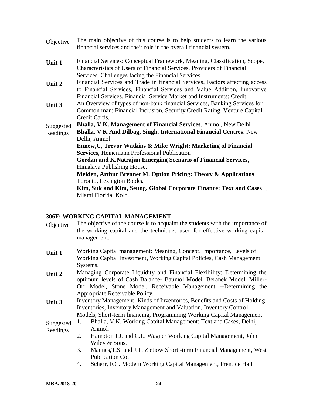| Objective | The main objective of this course is to help students to learn the various<br>financial services and their role in the overall financial system.                                                                                                                                       |
|-----------|----------------------------------------------------------------------------------------------------------------------------------------------------------------------------------------------------------------------------------------------------------------------------------------|
| Unit 1    | Financial Services: Conceptual Framework, Meaning, Classification, Scope,<br>Characteristics of Users of Financial Services, Providers of Financial                                                                                                                                    |
| Unit 2    | Services, Challenges facing the Financial Services<br>Financial Services and Trade in financial Services, Factors affecting access<br>to Financial Services, Financial Services and Value Addition, Innovative<br>Financial Services, Financial Service Market and Instruments: Credit |
| Unit 3    | An Overview of types of non-bank financial Services, Banking Services for<br>Common man: Financial Inclusion, Security Credit Rating, Venture Capital,<br>Credit Cards.                                                                                                                |
| Suggested | <b>Bhalla, V K. Management of Financial Services. Anmol, New Delhi</b>                                                                                                                                                                                                                 |
| Readings  | <b>Bhalla, V K And Dilbag, Singh. International Financial Centres. New</b><br>Delhi, Anmol.                                                                                                                                                                                            |
|           | Ennew, C, Trevor Watkins & Mike Wright: Marketing of Financial                                                                                                                                                                                                                         |
|           | <b>Services, Heinemann Professional Publication</b>                                                                                                                                                                                                                                    |
|           | Gordan and K.Natrajan Emerging Scenario of Financial Services,<br>Himalaya Publishing House.                                                                                                                                                                                           |
|           | Meiden, Arthur Brennet M. Option Pricing: Theory & Applications.                                                                                                                                                                                                                       |
|           | Toronto, Lexington Books.                                                                                                                                                                                                                                                              |
|           | Kim, Suk and Kim, Seung. Global Corporate Finance: Text and Cases.,<br>Miami Florida, Kolb.                                                                                                                                                                                            |
|           |                                                                                                                                                                                                                                                                                        |

#### **306F: WORKING CAPITAL MANAGEMENT**

- Objective The objective of the course is to acquaint the students with the importance of the working capital and the techniques used for effective working capital management.
- **Unit 1** Working Capital management: Meaning, Concept, Importance, Levels of Working Capital Investment, Working Capital Policies, Cash Management Systems.
- **Unit 2** Managing Corporate Liquidity and Financial Flexibility: Determining the optimum levels of Cash Balance- Baumol Model, Beranek Model, Miller-Orr Model, Stone Model, Receivable Management --Determining the Appropriate Receivable Policy.
- **Unit 3** Inventory Management: Kinds of Inventories, Benefits and Costs of Holding Inventories, Inventory Management and Valuation, Inventory Control Models, Short-term financing, Programming Working Capital Management.

#### Suggested Readings 1. Bhalla, V.K. Working Capital Management: Text and Cases, Delhi, Anmol.

- 2. Hampton J.J. and C.L. Wagner Working Capital Management, John Wiley & Sons.
	- 3. Mannes,T.S. and J.T. Zietiow Short -term Financial Management, West Publication Co.
	- 4. Scherr, F.C. Modern Working Capital Management, Prentice Hall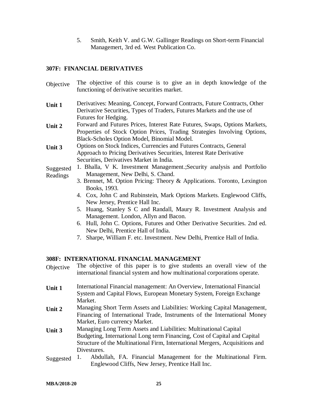5. Smith, Keith V. and G.W. Gallinger Readings on Short-term Financial Managemert, 3rd ed. West Publication Co.

#### **307F: FINANCIAL DERIVATIVES**

- Objective The objective of this course is to give an in depth knowledge of the functioning of derivative securities market.
- **Unit 1** Derivatives: Meaning, Concept, Forward Contracts, Future Contracts, Other Derivative Securities, Types of Traders, Futures Markets and the use of Futures for Hedging.
- **Unit 2** Forward and Futures Prices, Interest Rate Futures, Swaps, Options Markets, Properties of Stock Option Prices, Trading Strategies Involving Options, Black-Scholes Option Model, Binomial Model.
- **Unit 3** Options on Stock Indices, Currencies and Futures Contracts, General Approach to Pricing Derivatives Securities, Interest Rate Derivative Securities, Derivatives Market in India.
- Suggested Readings 1. Bhalla, V K. Investment Management.;Security analysis and Portfolio Management, New Delhi, S. Chand.
	- 3. Brennet, M. Option Pricing: Theory & Applications. Toronto, Lexington Books, 1993.
	- 4. Cox, John C and Rubinstein, Mark Options Markets. Englewood Cliffs, New Jersey, Prentice Hall Inc.
	- 5. Huang, Stanley S C and Randall, Maury R. Investment Analysis and Management. London, Allyn and Bacon.
	- 6. Hull, John C. Options, Futures and Other Derivative Securities. 2nd ed. New Delhi, Prentice Hall of India.
	- 7. Sharpe, William F. etc. Investment. New Delhi, Prentice Hall of India.

#### **308F: INTERNATIONAL FINANCIAL MANAGEMENT**

- Objective The objective of this paper is to give students an overall view of the international financial system and how multinational corporations operate.
- **Unit 1** International Financial management: An Overview, International Financial System and Capital Flows, European Monetary System, Foreign Exchange Market.
- **Unit 2** Managing Short Term Assets and Liabilities: Working Capital Management, Financing of International Trade, Instruments of the International Money Market, Euro currency Market.
- **Unit 3** Managing Long Term Assets and Liabilities: Multinational Capital Budgeting, International Long term Financing, Cost of Capital and Capital Structure of the Multinational Firm, International Mergers, Acquisitions and Divestures.
- Suggested 1. Abdullah, FA. Financial Management for the Multinational Firm. Englewood Cliffs, New Jersey, Prentice Hall Inc.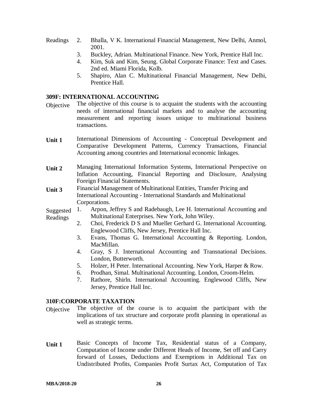- Readings 2. Bhalla, V K. International Financial Management, New Delhi, Anmol, 2001.
	- 3. Buckley, Adrian. Multinational Finance. New York, Prentice Hall Inc.
	- 4. Kim, Suk and Kim, Seung. Global Corporate Finance: Text and Cases. 2nd ed. Miami Florida, Kolb.
	- 5. Shapiro, Alan C. Multinational Financial Management, New Delhi, Prentice Hall.

#### **309F: INTERNATIONAL ACCOUNTING**

- Objective The objective of this course is to acquaint the students with the accounting needs of international financial markets and to analyse the accounting measurement and reporting issues unique to multinational business transactions.
- **Unit 1** International Dimensions of Accounting Conceptual Development and Comparative Development Patterns, Currency Transactions, Financial Accounting among countries and International economic linkages.
- **Unit 2** Managing International Information Systems, International Perspective on Inflation Accounting, Financial Reporting and Disclosure, Analysing Foreign Financial Statements.
- **Unit 3** Financial Management of Multinational Entities, Transfer Pricing and International Accounting - International Standards and Multinational Corporations.
- Suggested Readings 1. Arpon, Jeffrey S and Radebaugh, Lee H. International Accounting and Multinational Enterprises. New York, John Wiley.
	- 2. Choi, Frederick D S and Mueller Gerhard G. International Accounting. Englewood Cliffs, New Jersey, Prentice Hall Inc.
	- 3. Evans, Thomas G. International Accounting & Reporting. London, MacMillan.
	- 4. Gray, S J. International Accounting and Transnational Decisions. London, Butterworth.
	- 5. Holzer, H Peter. International Accounting. New York, Harper & Row.
	- 6. Prodhan, Simal. Multinational Accounting. London, Croom-Helm.
	- 7. Rathore, Shirln. International Accounting. Englewood Cliffs, New Jersey, Prentice Hall Inc.

#### **310F:CORPORATE TAXATION**

- Objective The objective of the course is to acquaint the participant with the implications of tax structure and corporate profit planning in operational as well as strategic terms.
- **Unit 1** Basic Concepts of Income Tax, Residential status of a Company, Computation of Income under Different Heads of Income, Set off and Carry forward of Losses, Deductions and Exemptions in Additional Tax on Undistributed Profits, Companies Profit Surtax Act, Computation of Tax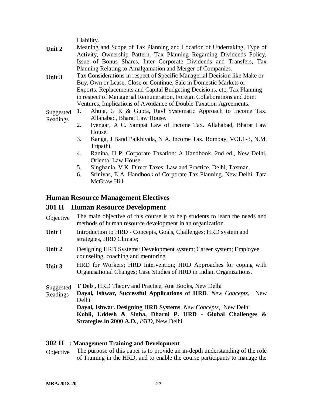Liability.

- **Unit 2** Meaning and Scope of Tax Planning and Location of Undertaking, Type of Activity, Ownership Pattern, Tax Planning Regarding Dividends Policy, Issue of Bonus Shares, Inter Corporate Dividends and Transfers, Tax Planning Relating to Amalgamation and Merger of Companies.
- **Unit 3** Tax Considerations in respect of Specific Managerial Decision like Make or Buy, Own or Lease, Close or Continue, Sale in Domestic Markets or Exports; Replacements and Capital Budgeting Decisions, etc, Tax Planning in respect of Managerial Remuneration, Foreign Collaborations and Joint Ventures, Implications of Avoidance of Double Taxation Agreements.

Suggested Readings 1. Ahuja, G K & Gupta, Ravl Systematic Approach to Income Tax. Allahabad, Bharat Law House.

- 2. Iyengar, A C. Sampat Law of Income Tax. Allahabad, Bharat Law House.
- 3. Kanga, J Band Palkhivala, N A. Income Tax. Bombay, VOI.1-3, N.M. Tripathi.
- 4. Ranina, H P. Corporate Taxation: A Handbook. 2nd ed., New Delhi, Oriental Law House.
- 5. Singhania, V K. Direct Taxes: Law and Practice. Delhi, Taxman.
- 6. Srinivas, E A. Handbook of Corporate Tax Planning. New Delhi, Tata McGraw Hill.

#### **Human Resource Management Electives**

#### **301 H Human Resource Development**

| Objective The main objective of this course is to help students to learn the needs and |
|----------------------------------------------------------------------------------------|
| methods of human resource development in an organization.                              |

- **Unit 1** Introduction to HRD Concepts, Goals, Challenges; HRD system and strategies, HRD Climate;
- **Unit 2** Designing HRD Systems: Development system; Career system; Employee counseling, coaching and mentoring
- **Unit 3** HRD for Workers; HRD Intervention; HRD Approaches for coping with Organisational Changes; Case Studies of HRD in Indian Organizations.
- **Suggested T Deb ,** HRD Theory and Practice, Ane Books, New Delhi
- Readings **Dayal, Ishwar, Successful Applications of HRD**. *New Concepts*, New Delhi

**Dayal, Ishwar. Designing HRD Systems**. *New Concepts*, New Delhi **Kohli, Uddesh & Sinha, Dharni P. HRD - Global Challenges & Strategies in 2000 A.D.**, *ISTD*, New Delhi

#### **302 H : Management Training and Development**

Objective The purpose of this paper is to provide an in-depth understanding of the role of Training in the HRD, and to enable the course participants to manage the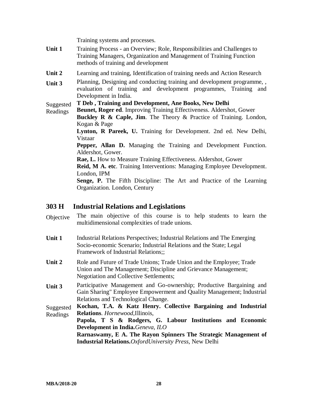Training systems and processes.

- **Unit 1** Training Process an Overview; Role, Responsibilities and Challenges to Training Managers, Organization and Management of Training Function methods of training and development
- **Unit 2** Learning and training, Identification of training needs and Action Research
- **Unit 3** Planning, Designing and conducting training and development programme, , evaluation of training and development programmes, Training and Development in India.

#### Suggested **T Deb , Training and Development, Ane Books, New Delhi**

- Readings **Beunet, Roger ed**. Improving Training Effectiveness. Aldershot, Gower **Buckley R & Caple, Jim**. The Theory & Practice of Training. London,
	- Kogan & Page

**Lynton, R Pareek, U.** Training for Development. 2nd ed. New Delhi, Vistaar

**Pepper, Allan D.** Managing the Training and Development Function. Aldershot, Gower.

**Rae, L.** How to Measure Training Effectiveness. Aldershot, Gower

**Reid, M A. etc**. Training Interventions: Managing Employee Development. London, IPM

**Senge, P.** The Fifth Discipline: The Art and Practice of the Learning Organization. London, Century

#### **303 H Industrial Relations and Legislations**

- Objective The main objective of this course is to help students to learn the multidimensional complexities of trade unions.
- **Unit 1** Industrial Relations Perspectives; Industrial Relations and The Emerging Socio-economic Scenario; Industrial Relations and the State; Legal Framework of Industrial Relations;;
- Unit 2 Role and Future of Trade Unions; Trade Union and the Employee; Trade Union and The Management; Discipline and Grievance Management; Negotiation and Collective Settlements;
- **Unit 3** Participative Management and Go-ownership; Productive Bargaining and Gain Sharing" Employee Empowerment and Quality Management; Industrial Relations and Technological Change.

Suggested Readings **Kochan, T.A. & Katz Henry. Collective Bargaining and Industrial Relations**. *Hornewood,*Illinois,

**Papola, T S & Rodgers, G. Labour Institutions and Economic Development in India.***Geneva, ILO*

**Rarnaswamy, E A. The Rayon Spinners The Strategic Management of Industrial Relations.***OxfordUniversity Press*, New Delhi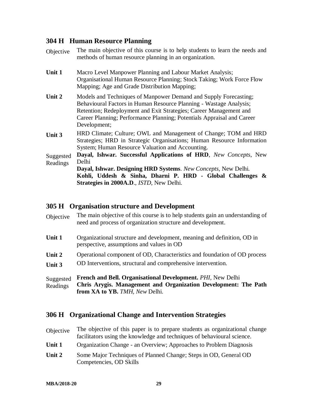### **304 H Human Resource Planning**

| Objective             | The main objective of this course is to help students to learn the needs and<br>methods of human resource planning in an organization.                                                                                                                                                                 |
|-----------------------|--------------------------------------------------------------------------------------------------------------------------------------------------------------------------------------------------------------------------------------------------------------------------------------------------------|
| Unit 1                | Macro Level Manpower Planning and Labour Market Analysis;<br>Organisational Human Resource Planning; Stock Taking; Work Force Flow<br>Mapping; Age and Grade Distribution Mapping;                                                                                                                     |
| Unit 2                | Models and Techniques of Manpower Demand and Supply Forecasting;<br>Behavioural Factors in Human Resource Planning - Wastage Analysis;<br>Retention; Redeployment and Exit Strategies; Career Management and<br>Career Planning; Performance Planning; Potentials Appraisal and Career<br>Development; |
| Unit 3                | HRD Climate; Culture; OWL and Management of Change; TOM and HRD<br>Strategies; HRD in Strategic Organisations; Human Resource Information<br>System; Human Resource Valuation and Accounting.                                                                                                          |
| Suggested<br>Readings | Dayal, Ishwar. Successful Applications of HRD, New Concepts, New<br>Delhi<br>Dayal, Ishwar. Designing HRD Systems. New Concepts, New Delhi.<br>Kohli, Uddesh & Sinha, Dharni P. HRD - Global Challenges &<br>Strategies in 2000A.D., <i>ISTD</i> , New Delhi.                                          |

### **305 H Organisation structure and Development**

| Suggested<br>Readings | French and Bell. Organisational Development. PHI, New Delhi<br>Chris Arygis. Management and Organization Development: The Path<br>from XA to YB. TMH, New Delhi. |
|-----------------------|------------------------------------------------------------------------------------------------------------------------------------------------------------------|
| Unit 2<br>Unit 3      | Operational component of OD, Characteristics and foundation of OD process<br>OD Interventions, structural and comprehensive intervention.                        |
| Unit 1                | Organizational structure and development, meaning and definition, OD in<br>perspective, assumptions and values in OD                                             |
| Objective             | The main objective of this course is to help students gain an understanding of<br>need and process of organization structure and development.                    |

### **306 H Organizational Change and Intervention Strategies**

| Objective | The objective of this paper is to prepare students as organizational change<br>facilitators using the knowledge and techniques of behavioural science. |
|-----------|--------------------------------------------------------------------------------------------------------------------------------------------------------|
| Unit 1    | Organization Change - an Overview; Approaches to Problem Diagnosis                                                                                     |
| Unit 2    | Some Major Techniques of Planned Change; Steps in OD, General OD<br>Competencies, OD Skills                                                            |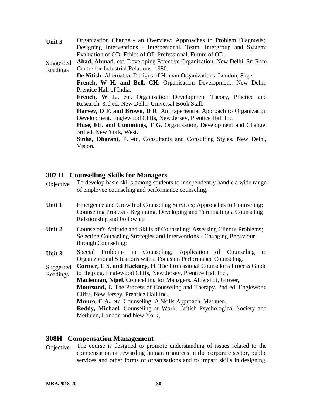**Unit 3** Organization Change - an Overview; Approaches to Problem Diagnosis;, Designing Interventions - Interpersonal, Team, Intergroup and System; Evaluation of OD, Ethics of OD Professional, Future of OD. Suggested Readings **Abad, Ahmad.** etc. Developing Effective Organization. New Delhi, Sri Ram Centre for Industrial Relations, 1980. **De Nitish**. Alternative Designs of Human Organizations. London, Sage. **French, W H. and Bell, CH**. Organisation Development. New Delhi, Prentice Hall of India. French, W L., etc. Organization Development Theory, Practice and Research. 3rd ed. New Delhi, Universal Book Stall. **Harvey, D F. and Brown, D R**. An Experiential Approach to Organization Development. Englewood Cliffs, New Jersey, Prentice Hall Inc. **Huse, FE. and Cummings, T G**. Organization, Development and Change. 3rd ed. New York, West. **Sinha, Dharani**, P. etc. Consultants and Consulting Styles. New Delhi, Vision.

#### **307 H Counselling Skills for Managers**

| Objective | To develop basic skills among students to independently handle a wide range<br>of employee counseling and performance counseling.                                               |
|-----------|---------------------------------------------------------------------------------------------------------------------------------------------------------------------------------|
| Unit 1    | Emergence and Growth of Counseling Services; Approaches to Counseling;<br>Counseling Process - Beginning, Developing and Terminating a Counseling<br>Relationship and Follow up |
| Unit 2    | Counselor's Attitude and Skills of Counseling; Assessing Client's Problems;<br>Selecting Counseling Strategies and Interventions - Changing Behaviour<br>through Counseling;    |
| Unit 3    | Special Problems in Counseling; Application of Counseling<br>to<br>Organizational Situations with a Focus on Performance Counseling.                                            |
| Suggested | Cormer, L.S. and Hackney, H. The Professional Counselor's Process Guide                                                                                                         |
| Readings  | to Helping. Englewood Cliffs, New Jersey, Prentice Hall Inc.,                                                                                                                   |
|           | Maclennan, Nigel. Councelling for Managers. Aldershot, Grover,                                                                                                                  |
|           | <b>Moursund, J.</b> The Process of Counseling and Therapy. 2nd ed. Englewood                                                                                                    |
|           | Cliffs, New Jersey, Prentice Hall Inc.,                                                                                                                                         |
|           | <b>Munro, C A., etc. Counseling: A Skills Approach. Methuen,</b>                                                                                                                |
|           | Reddy, Michael. Counseling at Work. British Psychological Society and                                                                                                           |

Methuen, London and New York,

#### **308H Compensation Management**

Objective The course is designed to promote understanding of issues related to the compensation or rewarding human resources in the corporate sector, public services and other forms of organisations and to impart skills in designing,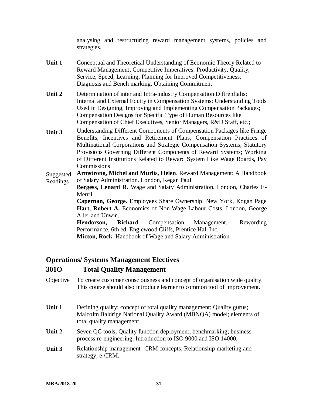analysing and restructuring reward management systems, policies and strategies.

- **Unit 1** Conceptual and Theoretical Understanding of Economic Theory Related to Reward Management; Competitive Imperatives: Productivity, Quality, Service, Speed, Learning; Planning for Improved Competitiveness; Diagnosis and Bench marking, Obtaining Commitment
- **Unit 2** Determination of inter and Intra-industry Compensation Diftrenfialis; Internal and External Equity in Compensation Systems; Understanding Tools Used in Designing, Improving and Implementing Compensation Packages; Compensation Designs for Specific Type of Human Resources like Compensation of Chief Executives, Senior Managers, R&D Staff, etc.;
- **Unit 3** Understanding Different Components of Compensation Packages like Fringe Benefits, Incentives and Retirement Plans; Compensation Practices of Multinational Corporations and Strategic Compensation Systems; Statutory Provisions Governing Different Components of Reward Systems; Working of Different Institutions Related to Reward System Like Wage Boards, Pay **Commissions**

Suggested Readings **Armstrong, Michel and Murlis, Helen**. Reward Management: A Handbook of Salary Administration. London, Kegan Paul

**Bergess, Lenard R.** Wage and Salaty Administration. London, Charles E-Merril

**Capernan, George.** Employees Share Ownership. New York, Kogan Page Hart, Robert A. Economics of Non-Wage Labour Costs. London, George Aller and Unwin.

**Hendorson, Richard** Compensation Management.- Rewording Performance. 6th ed. Englewood Cliffs, Prentice Hall Inc.

**Micton, Rock**. Handbook of Wage and Salary Administration

#### **Operations/ Systems Management Electives**

#### **301O Total Quality Management**

- Objective To create customer consciousness and concept of organisation wide quality. This course should also introduce learner to common tool of improvement.
- **Unit 1** Defining quality; concept of total quality management; Quality gurus; Malcolm Baldrige National Quality Award (MBNQA) model; elements of total quality management.
- **Unit 2** Seven QC tools; Quality function deployment; benchmarking; business process re-engineering. Introduction to ISO 9000 and ISO 14000.
- **Unit 3** Relationship management- CRM concepts; Relationship marketing and strategy; e-CRM.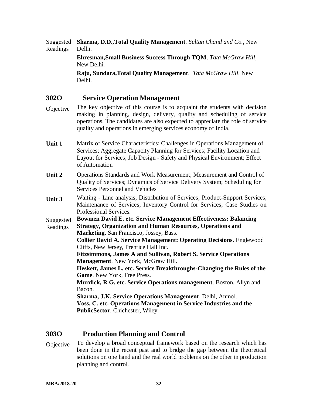Suggested Readings **Sharma, D.D.,Total Quality Management**. *Sultan Chand and Co.*, New Delhi.

> **Ehresman,Small Business Success Through TQM**. *Tata McGraw Hill*, New Delhi.

**Raju, Sundara,Total Quality Management**. *Tata McGraw Hill*, New Delhi.

#### **302O Service Operation Management**

- Objective The key objective of this course is to acquaint the students with decision making in planning, design, delivery, quality and scheduling of service operations. The candidates are also expected to appreciate the role of service quality and operations in emerging services economy of India.
- **Unit 1** Matrix of Service Characteristics; Challenges in Operations Management of Services; Aggregate Capacity Planning for Services; Facility Location and Layout for Services; Job Design - Safety and Physical Environment; Effect of Automation
- **Unit 2** Operations Standards and Work Measurement; Measurement and Control of Quality of Services; Dynamics of Service Delivery System; Scheduling for Services Personnel and Vehicles
- **Unit 3** Waiting Line analysis; Distribution of Services; Product-Support Services; Maintenance of Services; Inventory Control for Services; Case Studies on Professional Services.

Suggested **Bowmen David E. etc. Service Management Effectiveness: Balancing**

Readings **Strategy, Organization and Human Resources, Operations and Marketing**. San Francisco, Jossey, Bass.

> **Collier David A. Service Management: Operating Decisions**. Englewood Cliffs, New Jersey, Prentice Hall Inc.

**Fitzsimmons, James A and Sullivan, Robert S. Service Operations Management**. New York, McGraw Hill.

**Heskett, James L. etc. Service Breakthroughs-Changing the Rules of the Game**. New York, Free Press.

**Murdick, R G. etc. Service Operations management**. Boston, Allyn and Bacon.

**Sharma, J.K. Service Operations Management**, Delhi, Anmol.

**Voss, C. etc. Operations Management in Service Industries and the PublicSector**. Chichester, Wiley.

#### **303O Production Planning and Control**

Objective To develop a broad conceptual framework based on the research which has been done in the recent past and to bridge the gap between the theoretical solutions on one hand and the real world problems on the other in production planning and control.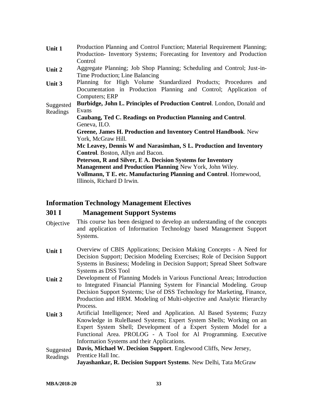| Unit 1    | Production Planning and Control Function; Material Requirement Planning; |
|-----------|--------------------------------------------------------------------------|
|           | Production-Inventory Systems; Forecasting for Inventory and Production   |
|           | Control                                                                  |
| Unit 2    | Aggregate Planning; Job Shop Planning; Scheduling and Control; Just-in-  |
|           | Time Production; Line Balancing                                          |
| Unit 3    | Planning for High Volume Standardized Products; Procedures and           |
|           | Documentation in Production Planning and Control; Application of         |
|           | Computers; ERP                                                           |
| Suggested | Burbidge, John L. Principles of Production Control. London, Donald and   |
| Readings  | Evans                                                                    |
|           | Caubang, Ted C. Readings on Production Planning and Control.             |
|           | Geneva, ILO.                                                             |
|           | <b>Greene, James H. Production and Inventory Control Handbook.</b> New   |
|           | York, McGraw Hill.                                                       |
|           | Mc Leavey, Dennis W and Narasimhan, S L. Production and Inventory        |
|           | <b>Control.</b> Boston, Allyn and Bacon.                                 |
|           | Peterson, R and Silver, E A. Decision Systems for Inventory              |
|           | Management and Production Planning New York, John Wiley.                 |
|           | Vollmann, T E. etc. Manufacturing Planning and Control. Homewood,        |
|           | Illinois, Richard D Irwin.                                               |

#### **Information Technology Management Electives**

#### **301 I Management Support Systems**

- Objective This course has been designed to develop an understanding of the concepts and application of Information Technology based Management Support Systems.
- **Unit 1** Overview of CBIS Applications; Decision Making Concepts A Need for Decision Support; Decision Modeling Exercises; Role of Decision Support Systems in Business; Modeling in Decision Support; Spread Sheet Software Systems as DSS Tool
- **Unit 2** Development of Planning Models in Various Functional Areas; Introduction to Integrated Financial Planning System for Financial Modeling. Group Decision Support Systems; Use of DSS Technology for Marketing, Finance, Production and HRM. Modeling of Multi-objective and Analytic Hierarchy Process.
- **Unit 3** Artificial Intelligence; Need and Application. Al Based Systems; Fuzzy Knowledge in RuleBased Systems; Expert System Shells; Working on an Expert System Shell; Development of a Expert System Model for a Functional Area. PROLOG - A Tool for Al Programming. Executive Information Systems and their Applications.

Suggested Readings **Davis, Michael W. Decision Support**. Englewood Cliffs, New Jersey, Prentice Hall Inc.

**Jayashankar, R. Decision Support Systems**. New Delhi, Tata McGraw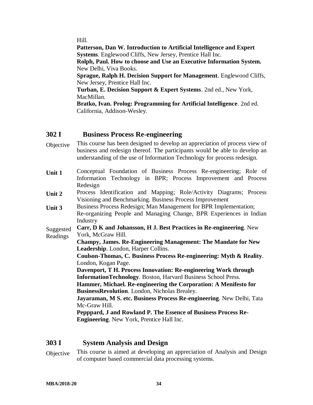Hill.

**Patterson, Dan W. Introduction to Artificial Intelligence and Expert Systems**. Englewood Cliffs, New Jersey, Prentice Hall Inc.

**Rolph, Paul. How to choose and Use an Executive Information System.** New Delhi, Viva Books.

**Sprague, Ralph H. Decision Support for Management**. Englewood Cliffs, New Jersey, Prentice Hall Inc.

**Turban, E. Decision Support & Expert Systems**. 2nd ed., New York, MacMillan.

**Bratko, Ivan. Prolog: Programming for Artificial Intelligence**. 2nd ed. California, Addison-Wesley.

#### **302 I Business Process Re-engineering**

- Objective This course has been designed to develop an appreciation of process view of business and redesign thereof. The participants would be able to develop an understanding of the use of Information Technology for process redesign.
- **Unit 1** Conceptual Foundation of Business Process Re-engineering; Role of Information Technology in BPR; Process Improvement and Process Redesign
- **Unit 2** Process Identification and Mapping; Role/Activity Diagrams; Process Visioning and Benchmarking. Business Process Improvement
- **Unit 3** Business Process Redesign; Man Management for BPR Implementation; Re-organizing People and Managing Change, BPR Experiences in Indian Industry

Suggested Readings **Carr, D K and Johansson, H J. Best Practices in Re-engineering**. New York, McGraw Hill.

**Champy, James. Re-Engineering Management: The Mandate for New Leadership**. London, Harper Collins.

**Coulson-Thomas, C. Business Process Re-engineering: Myth & Reality**. London, Kogan Page.

**Davenport, T H. Process Innovation: Re-engineering Work through InformationTechnology**. Boston, Harvard Business School Press.

**Hammer, Michael. Re-engineering the Corporation: A Menifesto for BusinessRevolution**. London, Nicholas Brealey.

**Jayaraman, M S. etc. Business Process Re-engineering**. New Delhi, Tata Mc-Graw Hill.

**Pepppard, J and Rowland P. The Essence of Business Process Re-Engineering**. New York, Prentice Hall Inc.

#### **303 I System Analysis and Design**

Objective This course is aimed at developing an appreciation of Analysis and Design of computer based commercial data processing systems.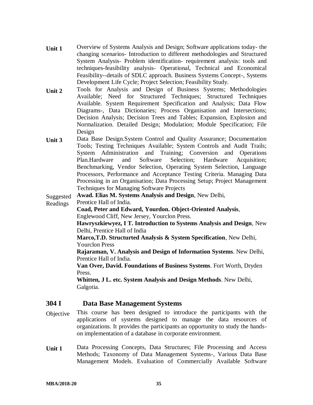- **Unit 1** Overview of Systems Analysis and Design; Software applications today- the changing scenarios- Introduction to different methodologies and Structured System Analysis- Problem identification- requirement analysis: tools and techniques-feasibility analysis- Operational, Technical and Economical Feasibility--details of SDLC approach. Business Systems Concept-, Systems Development Life Cycle; Project Selection; Feasibility Study.
- **Unit 2** Tools for Analysis and Design of Business Systems; Methodologies Available; Need for Structured Techniques; Structured Techniques Available. System Requirement Specification and Analysis; Data Flow Diagrams-, Data Dictionaries; Process Organisation and Intersections; Decision Analysis; Decision Trees and Tables; Expansion, Explosion and Normalization. Detailed Design; Modulation; Module Specification; File Design
- **Unit 3** Data Base Design.System Control and Quality Assurance; Documentation Tools; Testing Techniques Available; System Controls and Audit Trails; System Administration and Training; Conversion and Operations Plan.Hardware and Software Selection; Hardware Acquisition; Benchmarking, Vendor Selection, Operating System Selection, Language Processors, Performance and Acceptance Testing Criteria. Managing Data Processing in an Organisation; Data Processing Setup; Project Management Techniques for Managing Software Projects

Suggested **Awad. Elias M. Systems Analysis and Design**, New Delhi,

Readings Prentice Hall of India.

**Coad, Peter and Edward, Yourdon. Object-Oriented Analysis**, Englewood Cliff, New Jersey, Yourclon Press.

**Hawryszkiewyez, I T. Introduction to Systems Analysis and Design**, New Delhi, Prentice Hall of India

**Marco,T.D. Structurted Analysis & System Specification**, New Delhi, Yourclon Press

**Rajaraman, V. Analysis and Design of Information Systems**. New Delhi, Prentice Hall of India.

**Van Over, David. Foundations of Business Systems**. Fort Worth, Dryden Press.

**Whitten, J L. etc. System Analysis and Design Methods**. New Delhi, Galgotia.

#### **304 I Data Base Management Systems**

- Objective This course has been designed to introduce the participants with the applications of systems designed to manage the data resources of organizations. It provides the participants an opportunity to study the handson implementation of a database in corporate environment.
- **Unit 1** Data Processing Concepts, Data Structures; File Processing and Access Methods; Taxonomy of Data Management Systems-, Various Data Base Management Models. Evaluation of Commercially Available Software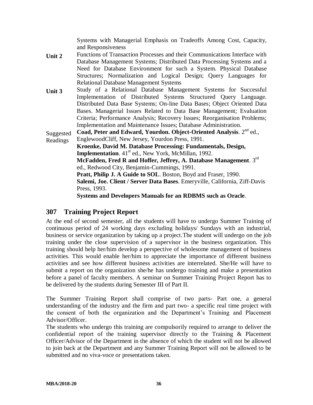Systems with Managerial Emphasis on Tradeoffs Among Cost, Capacity, and Responsiveness

- **Unit 2** Functions of Transaction Processes and their Communications Interface with Database Management Systems; Distributed Data Processing Systems and a Need for Database Environment for such a System. Physical Database Structures; Normalization and Logical Design; Query Languages for Relational Database Management Systems
- **Unit 3** Study of a Relational Database Management Systems for Successful Implementation of Distributed Systems Structured Query Language. Distributed Data Base Systems; On-line Data Bases; Object Oriented Data Bases. Managerial Issues Related to Data Base Management; Evaluation Criteria; Performance Analysis; Recovery Issues; Reorganisation Problems; Implementation and Maintenance Issues; Database Administration.

Suggested Coad, Peter and Edward, Yourdon. Object-Oriented Analysis. 2<sup>nd</sup> ed.,

Readings EnglewoodCliff, New Jersey, Yourdon Press, 1991.

**Kroenke, David M. Database Processing: Fundamentals, Design, Implementation.** 41<sup>st</sup> ed., New York, McMillan, 1992. **McFadden, Fred R and Hoffer, Jeffrey, A. Database Management**. 3rd ed., Redwood City, Benjamin-Cummings, 1991. **Pratt, Philip J. A Guide to SOL**. Boston, Boyd and Fraser, 1990. **Salemi, Joe. Client / Server Data Bases**. Emeryville, California, Ziff-Davis Press, 1993. **Systems and Developers Manuals for an RDBMS such as Oracle**.

### **307 Training Project Report**

At the end of second semester, all the students will have to undergo Summer Training of continuous period of 24 working days excluding holidays/ Sundays with an industrial, business or service organization by taking up a project.The student will undergo on the job training under the close supervision of a supervisor in the business organization. This training should help her/him develop a perspective of wholesome management of business activities. This would enable her/him to appreciate the importance of different business activities and see how different business activities are interrelated. She/He will have to submit a report on the organization she/he has undergo training and make a presentation before a panel of faculty members. A seminar on Summer Training Project Report has to be delivered by the students during Semester III of Part II.

The Summer Training Report shall comprise of two parts- Part one, a general understanding of the industry and the firm and part two- a specific real time project with the consent of both the organization and the Department's Training and Placement Advisor/Officer.

The students who undergo this training are compulsorily required to arrange to deliver the confidential report of the training supervisor directly to the Training & Placement Officer/Advisor of the Department in the absence of which the student will not be allowed to join back at the Department and any Summer Training Report will not be allowed to be submitted and no viva-voce or presentations taken.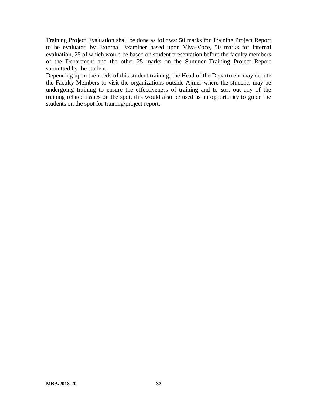Training Project Evaluation shall be done as follows: 50 marks for Training Project Report to be evaluated by External Examiner based upon Viva-Voce, 50 marks for internal evaluation, 25 of which would be based on student presentation before the faculty members of the Department and the other 25 marks on the Summer Training Project Report submitted by the student.

Depending upon the needs of this student training, the Head of the Department may depute the Faculty Members to visit the organizations outside Ajmer where the students may be undergoing training to ensure the effectiveness of training and to sort out any of the training related issues on the spot, this would also be used as an opportunity to guide the students on the spot for training/project report.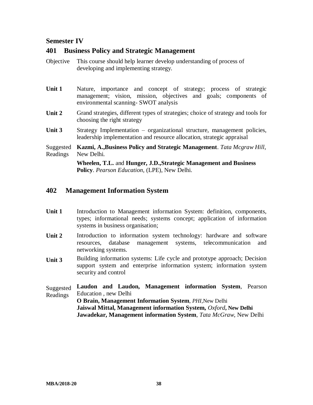#### **Semester IV**

#### **401 Business Policy and Strategic Management**

- Objective This course should help learner develop understanding of process of developing and implementing strategy.
- Unit 1 Nature, importance and concept of strategy; process of strategic management; vision, mission, objectives and goals; components of environmental scanning- SWOT analysis
- Unit 2 Grand strategies, different types of strategies; choice of strategy and tools for choosing the right strategy
- Unit 3 Strategy Implementation organizational structure, management policies, leadership implementation and resource allocation, strategic appraisal

Suggested **Kazmi, A.,Business Policy and Strategic Management**. *Tata Mcgraw Hill*, Readings New Delhi.

> **Wheelen, T.L.** and **Hunger, J.D.,Strategic Management and Business Policy**. *Pearson Education*, (LPE), New Delhi.

#### **402 Management Information System**

- Unit 1 Introduction to Management information System: definition, components, types; informational needs; systems concept; application of information systems in business organisation;
- Unit 2 Introduction to information system technology: hardware and software resources, database management systems, telecommunication and networking systems.
- **Unit 3** Building information systems: Life cycle and prototype approach; Decision support system and enterprise information system; information system security and control

Suggested Readings **Laudon and Laudon, Management information System**, Pearson Education , new Delhi **O Brain, Management Information System**, *PHI,*New Delhi **Jaiswal Mittal, Management information System,** *Oxford***, New Delhi Jawadekar, Management information System**, *Tata McGraw*, New Delhi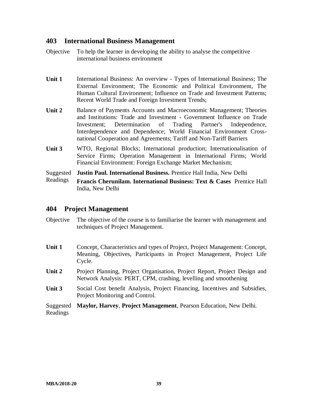#### **403 International Business Management**

- Objective To help the learner in developing the ability to analyse the competitive international business environment
- Unit 1 International Business: An overview Types of International Business; The External Environment; The Economic and Political Environment, The Human Cultural Environment; Influence on Trade and Investment Patterns; Recent World Trade and Foreign Investment Trends;
- **Unit 2** Balance of Payments Accounts and Macroeconomic Management; Theories and Institutions: Trade and Investment - Government Influence on Trade Investment; Determination of Trading Partner's Independence, Interdependence and Dependence; World Financial Environment Crossnational Cooperation and Agreements; Tariff and Non-Tariff Barriers
- **Unit 3** WTO, Regional Blocks; International production; Internationalisation of Service Firms; Operation Management in International Firms; World Financial Environment: Foreign Exchange Market Mechanism;

Suggested **Justin Paul. International Business.** Prentice Hall India, New Delhi

Readings **Francis Cherunilam. International Business: Text & Cases** Prentice Hall India, New Delhi

#### **404 Project Management**

- Objective The objective of the course is to familiarise the learner with management and techniques of Project Management.
- **Unit 1** Concept, Characteristics and types of Project, Project Management: Concept, Meaning, Objectives, Participants in Project Management, Project Life Cycle.
- **Unit 2** Project Planning, Project Organisation, Project Report, Project Design and Network Analysis: PERT, CPM, crashing, levelling and smoothening
- **Unit 3** Social Cost benefit Analysis, Project Financing, Incentives and Subsidies, Project Monitoring and Control.
- Suggested **Maylor, Harvey**, **Project Management**, Pearson Education, New Delhi. Readings